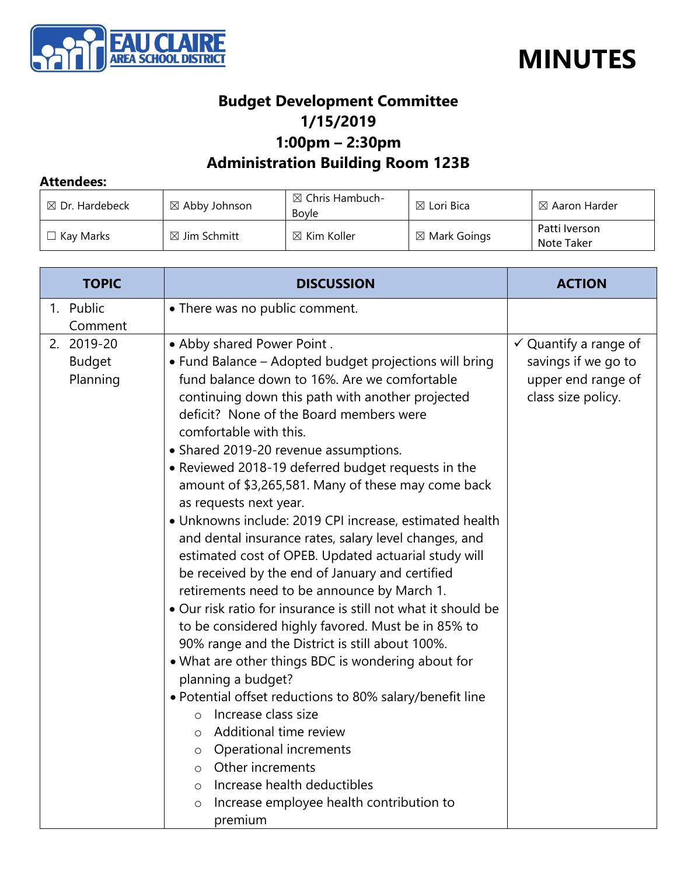



## **Budget Development Committee 1/15/2019 1:00pm – 2:30pm Administration Building Room 123B**

## **Attendees:**

| $\boxtimes$ Dr. Hardebeck | $\boxtimes$ Abby Johnson | $\boxtimes$ Chris Hambuch-<br>Bovle | $\boxtimes$ Lori Bica   | $\boxtimes$ Aaron Harder    |
|---------------------------|--------------------------|-------------------------------------|-------------------------|-----------------------------|
| $\Box$ Kav Marks          | $\boxtimes$ Jim Schmitt  | $\boxtimes$ Kim Koller              | $\boxtimes$ Mark Goings | Patti Iverson<br>Note Taker |

| <b>DISCUSSION</b>                                             | <b>ACTION</b>                                                                                                                                                                                                                                                                                                                                                                                                                                                                                                                                                                                                                                                                                                                                                                                                                                                                                                                  |
|---------------------------------------------------------------|--------------------------------------------------------------------------------------------------------------------------------------------------------------------------------------------------------------------------------------------------------------------------------------------------------------------------------------------------------------------------------------------------------------------------------------------------------------------------------------------------------------------------------------------------------------------------------------------------------------------------------------------------------------------------------------------------------------------------------------------------------------------------------------------------------------------------------------------------------------------------------------------------------------------------------|
| • There was no public comment.                                |                                                                                                                                                                                                                                                                                                                                                                                                                                                                                                                                                                                                                                                                                                                                                                                                                                                                                                                                |
|                                                               |                                                                                                                                                                                                                                                                                                                                                                                                                                                                                                                                                                                                                                                                                                                                                                                                                                                                                                                                |
|                                                               | $\checkmark$ Quantify a range of                                                                                                                                                                                                                                                                                                                                                                                                                                                                                                                                                                                                                                                                                                                                                                                                                                                                                               |
|                                                               | savings if we go to                                                                                                                                                                                                                                                                                                                                                                                                                                                                                                                                                                                                                                                                                                                                                                                                                                                                                                            |
|                                                               | upper end range of                                                                                                                                                                                                                                                                                                                                                                                                                                                                                                                                                                                                                                                                                                                                                                                                                                                                                                             |
|                                                               | class size policy.                                                                                                                                                                                                                                                                                                                                                                                                                                                                                                                                                                                                                                                                                                                                                                                                                                                                                                             |
|                                                               |                                                                                                                                                                                                                                                                                                                                                                                                                                                                                                                                                                                                                                                                                                                                                                                                                                                                                                                                |
|                                                               |                                                                                                                                                                                                                                                                                                                                                                                                                                                                                                                                                                                                                                                                                                                                                                                                                                                                                                                                |
|                                                               |                                                                                                                                                                                                                                                                                                                                                                                                                                                                                                                                                                                                                                                                                                                                                                                                                                                                                                                                |
|                                                               |                                                                                                                                                                                                                                                                                                                                                                                                                                                                                                                                                                                                                                                                                                                                                                                                                                                                                                                                |
|                                                               |                                                                                                                                                                                                                                                                                                                                                                                                                                                                                                                                                                                                                                                                                                                                                                                                                                                                                                                                |
|                                                               |                                                                                                                                                                                                                                                                                                                                                                                                                                                                                                                                                                                                                                                                                                                                                                                                                                                                                                                                |
|                                                               |                                                                                                                                                                                                                                                                                                                                                                                                                                                                                                                                                                                                                                                                                                                                                                                                                                                                                                                                |
| estimated cost of OPEB. Updated actuarial study will          |                                                                                                                                                                                                                                                                                                                                                                                                                                                                                                                                                                                                                                                                                                                                                                                                                                                                                                                                |
| be received by the end of January and certified               |                                                                                                                                                                                                                                                                                                                                                                                                                                                                                                                                                                                                                                                                                                                                                                                                                                                                                                                                |
| retirements need to be announce by March 1.                   |                                                                                                                                                                                                                                                                                                                                                                                                                                                                                                                                                                                                                                                                                                                                                                                                                                                                                                                                |
| • Our risk ratio for insurance is still not what it should be |                                                                                                                                                                                                                                                                                                                                                                                                                                                                                                                                                                                                                                                                                                                                                                                                                                                                                                                                |
| to be considered highly favored. Must be in 85% to            |                                                                                                                                                                                                                                                                                                                                                                                                                                                                                                                                                                                                                                                                                                                                                                                                                                                                                                                                |
| 90% range and the District is still about 100%.               |                                                                                                                                                                                                                                                                                                                                                                                                                                                                                                                                                                                                                                                                                                                                                                                                                                                                                                                                |
|                                                               |                                                                                                                                                                                                                                                                                                                                                                                                                                                                                                                                                                                                                                                                                                                                                                                                                                                                                                                                |
|                                                               |                                                                                                                                                                                                                                                                                                                                                                                                                                                                                                                                                                                                                                                                                                                                                                                                                                                                                                                                |
|                                                               |                                                                                                                                                                                                                                                                                                                                                                                                                                                                                                                                                                                                                                                                                                                                                                                                                                                                                                                                |
| $\circ$                                                       |                                                                                                                                                                                                                                                                                                                                                                                                                                                                                                                                                                                                                                                                                                                                                                                                                                                                                                                                |
| $\circ$                                                       |                                                                                                                                                                                                                                                                                                                                                                                                                                                                                                                                                                                                                                                                                                                                                                                                                                                                                                                                |
| $\circ$                                                       |                                                                                                                                                                                                                                                                                                                                                                                                                                                                                                                                                                                                                                                                                                                                                                                                                                                                                                                                |
|                                                               |                                                                                                                                                                                                                                                                                                                                                                                                                                                                                                                                                                                                                                                                                                                                                                                                                                                                                                                                |
|                                                               |                                                                                                                                                                                                                                                                                                                                                                                                                                                                                                                                                                                                                                                                                                                                                                                                                                                                                                                                |
|                                                               |                                                                                                                                                                                                                                                                                                                                                                                                                                                                                                                                                                                                                                                                                                                                                                                                                                                                                                                                |
|                                                               | . Abby shared Power Point.<br>• Fund Balance – Adopted budget projections will bring<br>fund balance down to 16%. Are we comfortable<br>continuing down this path with another projected<br>deficit? None of the Board members were<br>comfortable with this.<br>• Shared 2019-20 revenue assumptions.<br>• Reviewed 2018-19 deferred budget requests in the<br>amount of \$3,265,581. Many of these may come back<br>as requests next year.<br>• Unknowns include: 2019 CPI increase, estimated health<br>and dental insurance rates, salary level changes, and<br>. What are other things BDC is wondering about for<br>planning a budget?<br>· Potential offset reductions to 80% salary/benefit line<br>Increase class size<br>Additional time review<br>Operational increments<br>$\circ$ Other increments<br>Increase health deductibles<br>$\circ$<br>Increase employee health contribution to<br>$\bigcirc$<br>premium |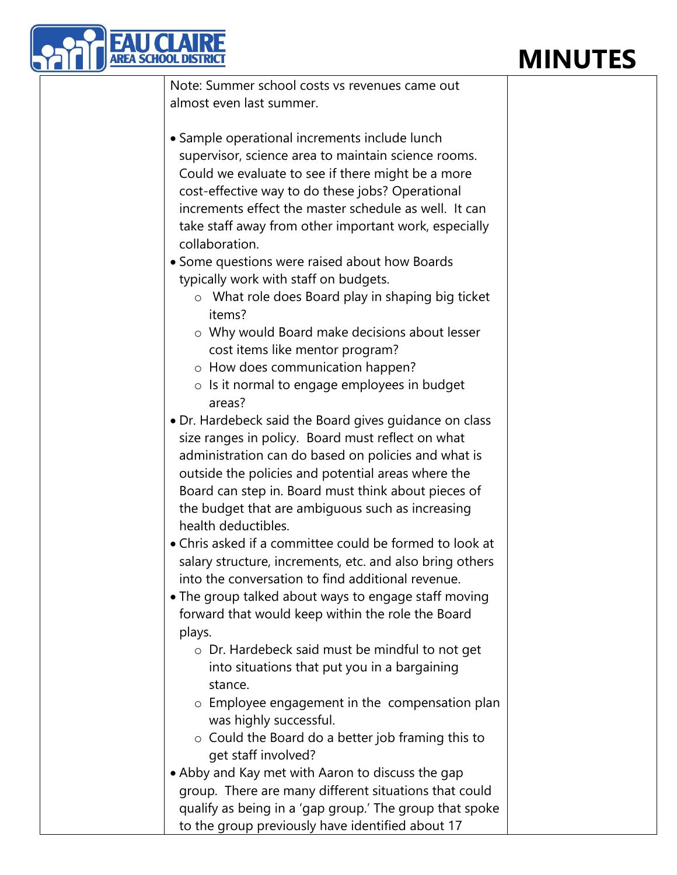## **MINUTES**



Note: Summer school costs vs revenues came out almost even last summer.

• Sample operational increments include lunch supervisor, science area to maintain science rooms. Could we evaluate to see if there might be a more cost-effective way to do these jobs? Operational increments effect the master schedule as well. It can take staff away from other important work, especially collaboration.

• Some questions were raised about how Boards typically work with staff on budgets.

- o What role does Board play in shaping big ticket items?
- o Why would Board make decisions about lesser cost items like mentor program?
- o How does communication happen?
- o Is it normal to engage employees in budget areas?
- Dr. Hardebeck said the Board gives guidance on class size ranges in policy. Board must reflect on what administration can do based on policies and what is outside the policies and potential areas where the Board can step in. Board must think about pieces of the budget that are ambiguous such as increasing health deductibles.
- Chris asked if a committee could be formed to look at salary structure, increments, etc. and also bring others into the conversation to find additional revenue.
- The group talked about ways to engage staff moving forward that would keep within the role the Board plays.
	- o Dr. Hardebeck said must be mindful to not get into situations that put you in a bargaining stance.
	- o Employee engagement in the compensation plan was highly successful.
	- o Could the Board do a better job framing this to get staff involved?
- Abby and Kay met with Aaron to discuss the gap group. There are many different situations that could qualify as being in a 'gap group.' The group that spoke to the group previously have identified about 17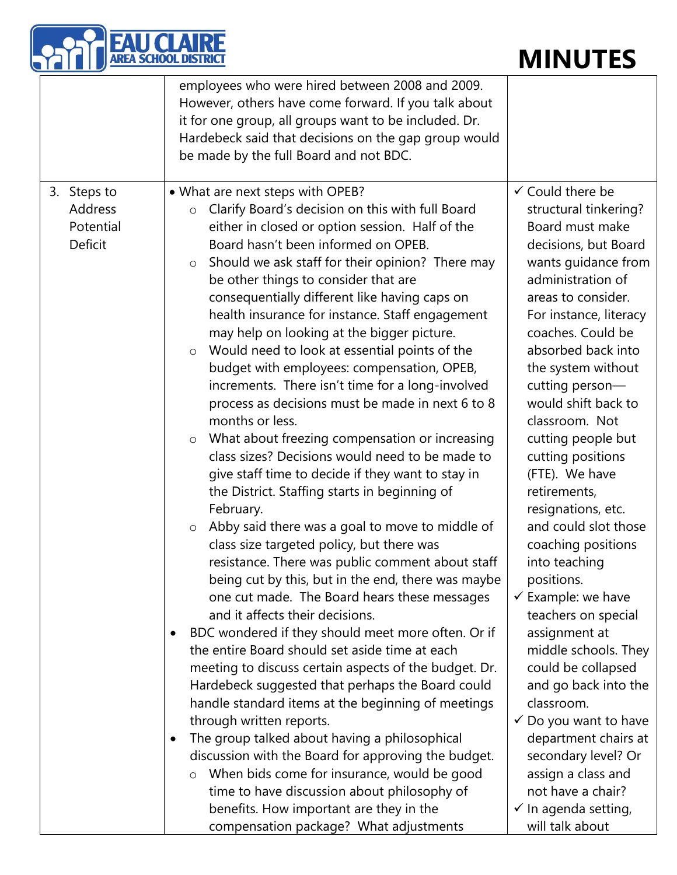| <b>EAU CLAIRE</b><br>AREA SCHOOL DISTRIC       | <b>MINUTES</b>                                                                                                                                                                                                                                                                                                                                                                                                                                                                                                                                                                                                                                                                                                                                                                                                                                                                                                                                                                                                                                                                                                                                                                                                                                                                                                                                                                                                                                                                                                                                                                                                                                                                                                                                                                                                                                                            |                                                                                                                                                                                                                                                                                                                                                                                                                                                                                                                                                                                                                                                                                                                                                                                                                                                |
|------------------------------------------------|---------------------------------------------------------------------------------------------------------------------------------------------------------------------------------------------------------------------------------------------------------------------------------------------------------------------------------------------------------------------------------------------------------------------------------------------------------------------------------------------------------------------------------------------------------------------------------------------------------------------------------------------------------------------------------------------------------------------------------------------------------------------------------------------------------------------------------------------------------------------------------------------------------------------------------------------------------------------------------------------------------------------------------------------------------------------------------------------------------------------------------------------------------------------------------------------------------------------------------------------------------------------------------------------------------------------------------------------------------------------------------------------------------------------------------------------------------------------------------------------------------------------------------------------------------------------------------------------------------------------------------------------------------------------------------------------------------------------------------------------------------------------------------------------------------------------------------------------------------------------------|------------------------------------------------------------------------------------------------------------------------------------------------------------------------------------------------------------------------------------------------------------------------------------------------------------------------------------------------------------------------------------------------------------------------------------------------------------------------------------------------------------------------------------------------------------------------------------------------------------------------------------------------------------------------------------------------------------------------------------------------------------------------------------------------------------------------------------------------|
|                                                | employees who were hired between 2008 and 2009.<br>However, others have come forward. If you talk about<br>it for one group, all groups want to be included. Dr.<br>Hardebeck said that decisions on the gap group would<br>be made by the full Board and not BDC.                                                                                                                                                                                                                                                                                                                                                                                                                                                                                                                                                                                                                                                                                                                                                                                                                                                                                                                                                                                                                                                                                                                                                                                                                                                                                                                                                                                                                                                                                                                                                                                                        |                                                                                                                                                                                                                                                                                                                                                                                                                                                                                                                                                                                                                                                                                                                                                                                                                                                |
| 3. Steps to<br>Address<br>Potential<br>Deficit | • What are next steps with OPEB?<br>Clarify Board's decision on this with full Board<br>$\circ$<br>either in closed or option session. Half of the<br>Board hasn't been informed on OPEB.<br>Should we ask staff for their opinion? There may<br>$\circ$<br>be other things to consider that are<br>consequentially different like having caps on<br>health insurance for instance. Staff engagement<br>may help on looking at the bigger picture.<br>Would need to look at essential points of the<br>$\circ$<br>budget with employees: compensation, OPEB,<br>increments. There isn't time for a long-involved<br>process as decisions must be made in next 6 to 8<br>months or less.<br>What about freezing compensation or increasing<br>$\circ$<br>class sizes? Decisions would need to be made to<br>give staff time to decide if they want to stay in<br>the District. Staffing starts in beginning of<br>February.<br>Abby said there was a goal to move to middle of<br>$\circ$<br>class size targeted policy, but there was<br>resistance. There was public comment about staff<br>being cut by this, but in the end, there was maybe<br>one cut made. The Board hears these messages<br>and it affects their decisions.<br>BDC wondered if they should meet more often. Or if<br>$\bullet$<br>the entire Board should set aside time at each<br>meeting to discuss certain aspects of the budget. Dr.<br>Hardebeck suggested that perhaps the Board could<br>handle standard items at the beginning of meetings<br>through written reports.<br>The group talked about having a philosophical<br>$\bullet$<br>discussion with the Board for approving the budget.<br>When bids come for insurance, would be good<br>$\circ$<br>time to have discussion about philosophy of<br>benefits. How important are they in the<br>compensation package? What adjustments | $\checkmark$ Could there be<br>structural tinkering?<br>Board must make<br>decisions, but Board<br>wants guidance from<br>administration of<br>areas to consider.<br>For instance, literacy<br>coaches. Could be<br>absorbed back into<br>the system without<br>cutting person-<br>would shift back to<br>classroom. Not<br>cutting people but<br>cutting positions<br>(FTE). We have<br>retirements,<br>resignations, etc.<br>and could slot those<br>coaching positions<br>into teaching<br>positions.<br>$\checkmark$ Example: we have<br>teachers on special<br>assignment at<br>middle schools. They<br>could be collapsed<br>and go back into the<br>classroom.<br>✓ Do you want to have<br>department chairs at<br>secondary level? Or<br>assign a class and<br>not have a chair?<br>$\checkmark$ In agenda setting,<br>will talk about |